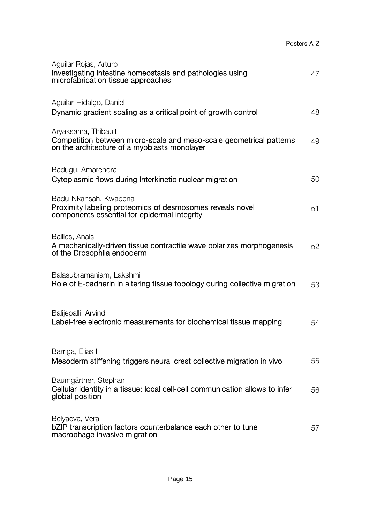| Aguilar Rojas, Arturo<br>Investigating intestine homeostasis and pathologies using<br>microfabrication tissue approaches                   | 47 |
|--------------------------------------------------------------------------------------------------------------------------------------------|----|
| Aguilar-Hidalgo, Daniel<br>Dynamic gradient scaling as a critical point of growth control                                                  | 48 |
| Aryaksama, Thibault<br>Competition between micro-scale and meso-scale geometrical patterns<br>on the architecture of a myoblasts monolayer | 49 |
| Badugu, Amarendra<br>Cytoplasmic flows during Interkinetic nuclear migration                                                               | 50 |
| Badu-Nkansah, Kwabena<br>Proximity labeling proteomics of desmosomes reveals novel<br>components essential for epidermal integrity         | 51 |
| Bailles, Anais<br>A mechanically-driven tissue contractile wave polarizes morphogenesis<br>of the Drosophila endoderm                      | 52 |
| Balasubramaniam, Lakshmi<br>Role of E-cadherin in altering tissue topology during collective migration                                     | 53 |
| Balijepalli, Arvind<br>Label-free electronic measurements for biochemical tissue mapping                                                   | 54 |
| Barriga, Elias H<br>Mesoderm stiffening triggers neural crest collective migration in vivo                                                 | 55 |
| Baumgärtner, Stephan<br>Cellular identity in a tissue: local cell-cell communication allows to infer<br>global position                    | 56 |
| Belyaeva, Vera<br>bZIP transcription factors counterbalance each other to tune<br>macrophage invasive migration                            | 57 |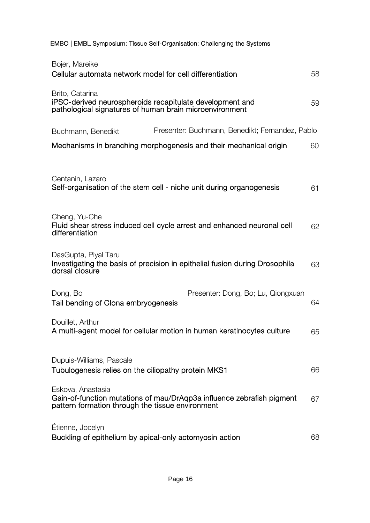EMBO | EMBL Symposium: Tissue Self-Organisation: Challenging the Systems

| Bojer, Mareike<br>Cellular automata network model for cell differentiation                                                                     | 58 |
|------------------------------------------------------------------------------------------------------------------------------------------------|----|
| Brito, Catarina<br>iPSC-derived neurospheroids recapitulate development and<br>pathological signatures of human brain microenvironment         | 59 |
| Presenter: Buchmann, Benedikt; Fernandez, Pablo<br>Buchmann, Benedikt                                                                          |    |
| Mechanisms in branching morphogenesis and their mechanical origin                                                                              | 60 |
| Centanin, Lazaro<br>Self-organisation of the stem cell - niche unit during organogenesis                                                       | 61 |
| Cheng, Yu-Che<br>Fluid shear stress induced cell cycle arrest and enhanced neuronal cell<br>differentiation                                    | 62 |
| DasGupta, Piyal Taru<br>Investigating the basis of precision in epithelial fusion during Drosophila<br>dorsal closure                          | 63 |
| Dong, Bo<br>Presenter: Dong, Bo; Lu, Qiongxuan<br>Tail bending of Clona embryogenesis                                                          | 64 |
| Douillet, Arthur<br>A multi-agent model for cellular motion in human keratinocytes culture                                                     | 65 |
| Dupuis-Williams, Pascale<br>Tubulogenesis relies on the ciliopathy protein MKS1                                                                | 66 |
| Eskova, Anastasia<br>Gain-of-function mutations of mau/DrAqp3a influence zebrafish pigment<br>pattern formation through the tissue environment | 67 |
| Étienne, Jocelyn<br>Buckling of epithelium by apical-only actomyosin action                                                                    | 68 |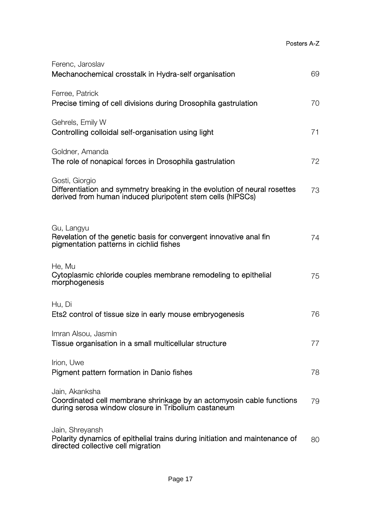| Ferenc, Jaroslav<br>Mechanochemical crosstalk in Hydra-self organisation                                                                                  | 69 |
|-----------------------------------------------------------------------------------------------------------------------------------------------------------|----|
| Ferree, Patrick<br>Precise timing of cell divisions during Drosophila gastrulation                                                                        | 70 |
| Gehrels, Emily W<br>Controlling colloidal self-organisation using light                                                                                   | 71 |
| Goldner, Amanda<br>The role of nonapical forces in Drosophila gastrulation                                                                                | 72 |
| Gosti, Giorgio<br>Differentiation and symmetry breaking in the evolution of neural rosettes<br>derived from human induced pluripotent stem cells (hIPSCs) | 73 |
| Gu, Langyu<br>Revelation of the genetic basis for convergent innovative anal fin<br>pigmentation patterns in cichlid fishes                               | 74 |
| He, Mu<br>Cytoplasmic chloride couples membrane remodeling to epithelial<br>morphogenesis                                                                 | 75 |
| Hu, Di<br>Ets2 control of tissue size in early mouse embryogenesis                                                                                        | 76 |
| Imran Alsou, Jasmin<br>Tissue organisation in a small multicellular structure                                                                             | 77 |
| Irion, Uwe<br>Pigment pattern formation in Danio fishes                                                                                                   | 78 |
| Jain, Akanksha<br>Coordinated cell membrane shrinkage by an actomyosin cable functions<br>during serosa window closure in Tribolium castaneum             | 79 |
| Jain, Shreyansh<br>Polarity dynamics of epithelial trains during initiation and maintenance of<br>directed collective cell migration                      | 80 |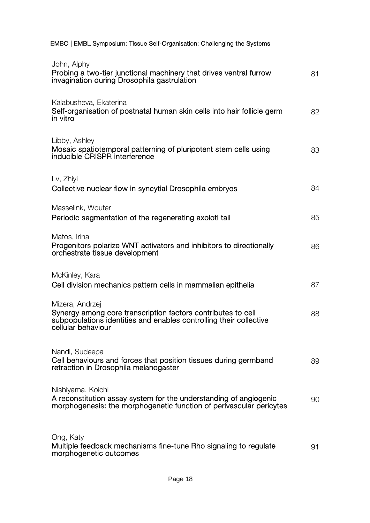|  |  |  | EMBO   EMBL Symposium: Tissue Self-Organisation: Challenging the Systems |
|--|--|--|--------------------------------------------------------------------------|
|--|--|--|--------------------------------------------------------------------------|

| John, Alphy<br>Probing a two-tier junctional machinery that drives ventral furrow<br>invagination during Drosophila gastrulation                                            | 81 |
|-----------------------------------------------------------------------------------------------------------------------------------------------------------------------------|----|
| Kalabusheva, Ekaterina<br>Self-organisation of postnatal human skin cells into hair follicle germ<br>in vitro                                                               | 82 |
| Libby, Ashley<br>Mosaic spatiotemporal patterning of pluripotent stem cells using<br>inducible CRISPR interference                                                          | 83 |
| Lv, Zhiyi<br>Collective nuclear flow in syncytial Drosophila embryos                                                                                                        | 84 |
| Masselink, Wouter<br>Periodic segmentation of the regenerating axolotl tail                                                                                                 | 85 |
| Matos, Irina<br>Progenitors polarize WNT activators and inhibitors to directionally<br>orchestrate tissue development                                                       | 86 |
| McKinley, Kara<br>Cell division mechanics pattern cells in mammalian epithelia                                                                                              | 87 |
| Mizera, Andrzej<br>Synergy among core transcription factors contributes to cell<br>subpopulations identities and enables controlling their collective<br>cellular behaviour | 88 |
| Nandi, Sudeepa<br>Cell behaviours and forces that position tissues during germband<br>retraction in Drosophila melanogaster                                                 | 89 |
| Nishiyama, Koichi<br>A reconstitution assay system for the understanding of angiogenic<br>morphogenesis: the morphogenetic function of perivascular pericytes               | 90 |
| Ong, Katy<br>Multiple feedback mechanisms fine-tune Rho signaling to regulate<br>morphogenetic outcomes                                                                     | 91 |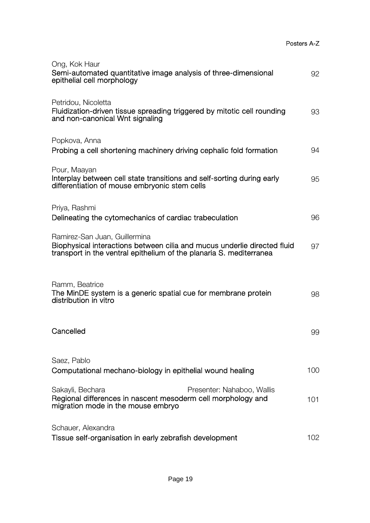| Ong, Kok Haur<br>Semi-automated quantitative image analysis of three-dimensional<br>epithelial cell morphology                                                                   | 92  |
|----------------------------------------------------------------------------------------------------------------------------------------------------------------------------------|-----|
| Petridou, Nicoletta<br>Fluidization-driven tissue spreading triggered by mitotic cell rounding<br>and non-canonical Wnt signaling                                                | 93  |
| Popkova, Anna<br>Probing a cell shortening machinery driving cephalic fold formation                                                                                             | 94  |
| Pour, Maayan<br>Interplay between cell state transitions and self-sorting during early<br>differentiation of mouse embryonic stem cells                                          | 95  |
| Priya, Rashmi<br>Delineating the cytomechanics of cardiac trabeculation                                                                                                          | 96  |
| Ramirez-San Juan, Guillermina<br>Biophysical interactions between cilia and mucus underlie directed fluid<br>transport in the ventral epithelium of the planaria S. mediterranea | 97  |
| Ramm, Beatrice<br>The MinDE system is a generic spatial cue for membrane protein<br>distribution in vitro                                                                        | 98  |
| Cancelled                                                                                                                                                                        | 99  |
| Saez, Pablo<br>Computational mechano-biology in epithelial wound healing                                                                                                         | 100 |
| Sakayli, Bechara<br>Presenter: Nahaboo, Wallis<br>Regional differences in nascent mesoderm cell morphology and<br>migration mode in the mouse embryo                             | 101 |
| Schauer, Alexandra<br>Tissue self-organisation in early zebrafish development                                                                                                    | 102 |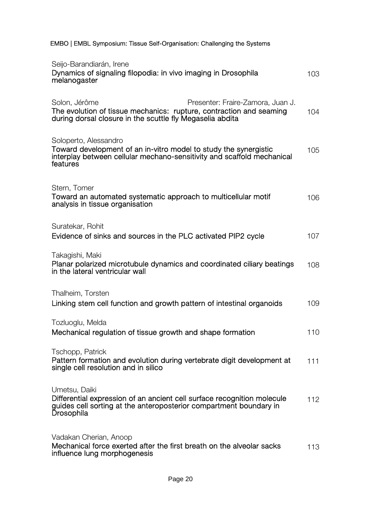EMBO | EMBL Symposium: Tissue Self-Organisation: Challenging the Systems

| Seijo-Barandiarán, Irene<br>Dynamics of signaling filopodia: in vivo imaging in Drosophila<br>melanogaster                                                                             | 103 |
|----------------------------------------------------------------------------------------------------------------------------------------------------------------------------------------|-----|
| Solon, Jérôme<br>Presenter: Fraire-Zamora, Juan J.<br>The evolution of tissue mechanics: rupture, contraction and seaming<br>during dorsal closure in the scuttle fly Megaselia abdita | 104 |
| Soloperto, Alessandro<br>Toward development of an in-vitro model to study the synergistic<br>interplay between cellular mechano-sensitivity and scaffold mechanical<br>features        | 105 |
| Stern, Tomer<br>Toward an automated systematic approach to multicellular motif<br>analysis in tissue organisation                                                                      | 106 |
| Suratekar, Rohit<br>Evidence of sinks and sources in the PLC activated PIP2 cycle                                                                                                      | 107 |
| Takagishi, Maki<br>Planar polarized microtubule dynamics and coordinated ciliary beatings<br>in the lateral ventricular wall                                                           | 108 |
| Thalheim, Torsten<br>Linking stem cell function and growth pattern of intestinal organoids                                                                                             | 109 |
| Tozluoglu, Melda<br>Mechanical regulation of tissue growth and shape formation                                                                                                         | 110 |
| Tschopp, Patrick<br>Pattern formation and evolution during vertebrate digit development at<br>single cell resolution and in silico                                                     | 111 |
| Umetsu, Daiki<br>Differential expression of an ancient cell surface recognition molecule<br>guides cell sorting at the anteroposterior compartment boundary in<br><b>Drosophila</b>    | 112 |
| Vadakan Cherian, Anoop<br>Mechanical force exerted after the first breath on the alveolar sacks<br>influence lung morphogenesis                                                        | 113 |